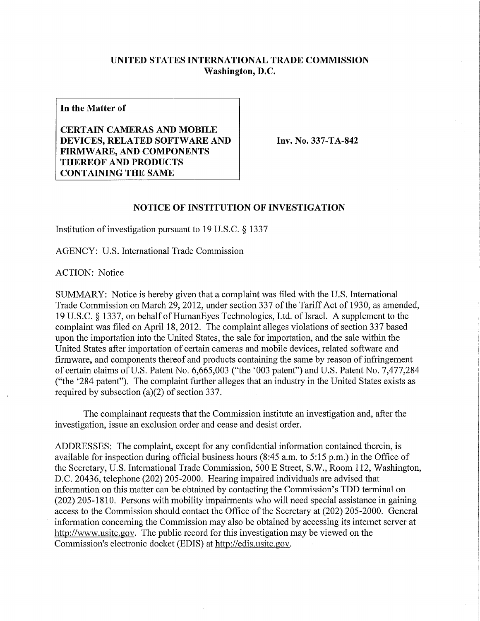## **UNITED STATES INTERNATIONAL TRADE COMMISSION Washington, D.C.**

**In the Matter of** 

**CERTAIN CAMERAS AND MOBILE DEVICES, RELATED SOFTWARE AND FIRMWARE, AND COMPONENTS THEREOF AND PRODUCTS CONTAINING THE SAME** 

**Inv. No. 337-TA-842** 

## **NOTICE OF INSTITUTION OF INVESTIGATION**

Institution of investigation pursuant to 19 U.S.C. § 1337

AGENCY: U.S. International Trade Commission

ACTION: Notice

SUMMARY: Notice is hereby given that a complaint was filed with the U.S. International Trade Commission on March 29, 2012, under section 337 of the Tariff Act of 1930, as amended, 19 U.S.C. § 1337, on behalf of HumanEyes Technologies, Ltd. of Israel. A supplement to the complaint was filed on April 18, 2012. The complaint alleges violations of section 337 based upon the importation into the United States, the sale for importation, and the sale within the United States after importation of certain cameras and mobile devices, related software and firmware, and components thereof and products containing the same by reason of infringement of certain claims of U.S. Patent No. 6,665,003 ("the '003 patent") and U.S. Patent No. 7,477,284 ("the '284 patent"). The complaint further alleges that an industry in the United States exists as required by subsection (a)(2) of section 337.

The complainant requests that the Commission institute an investigation and, after the investigation, issue an exclusion order and cease and desist order.

ADDRESSES: The complaint, except for any confidential information contained therein, is available for inspection during official business hours (8:45 a.m. to 5:15 p.m.) in the Office of the Secretary, U.S. International Trade Commission, 500 E Street, S.W., Room 112, Washington, D.C. 20436, telephone (202) 205-2000. Hearing impaired individuals are advised that information on this matter can be obtained by contacting the Commission's TDD terminal on (202) 205-1810. Persons with mobility impairments who will need special assistance in gaining access to the Commission should contact the Office of the Secretary at (202) 205-2000. General information concerning the Commission may also be obtained by accessing its internet server at http://www.usitc.gov. The public record for this investigation may be viewed on the Commission's electronic docket (EDIS) at http://edis.usitc.gov.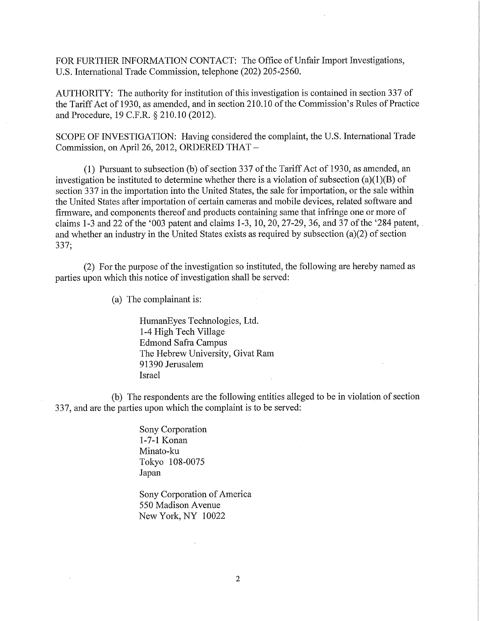FOR FURTHER INFORMATION CONTACT: The Office of Unfair Import Investigations, U.S. International Trade Commission, telephone (202) 205-2560.

AUTHORITY: The authority for institution of this investigation is contained in section 337 of the Tariff Act of 1930, as amended, and in section 210.10 of the Commission's Rules of Practice and Procedure, 19 C.F.R. § 210.10 (2012).

SCOPE OF INVESTIGATION: Having considered the complaint, the U.S. International Trade Commission, on April 26, 2012, ORDERED THAT -

(1) Pursuant to subsection (b) of section 337 of the Tariff Act of 1930, as amended, an investigation be instituted to determine whether there is a violation of subsection (a)(1)(B) of section 337 in the importation into the United States, the sale for importation, or the sale within the United States after importation of certain cameras and mobile devices, related software and firmware, and components thereof and products containing same that infringe one or more of claims 1-3 and 22 of the '003 patent and claims 1-3, 10,20,27-29, 36, and 37 of the '284 patent, and whether an industry in the United States exists as required by subsection (a)(2) of section 337;

(2) For the purpose of the investigation so instituted, the following are hereby named as parties upon which this notice of investigation shall be served:

(a) The complainant is:

HumanEyes Technologies, Ltd. 1-4 High Tech Village Edmond Safra Campus The Hebrew University, Givat Ram 91390 Jerusalem Israel

(b) The respondents are the following entities alleged to be in violation of section 337, and are the parties upon which the complaint is to be served:

> Sony Corporation 1-7-1 Konan Minato-ku Tokyo 108-0075 Japan

Sony Corporation of America 550 Madison Avenue New York, NY 10022